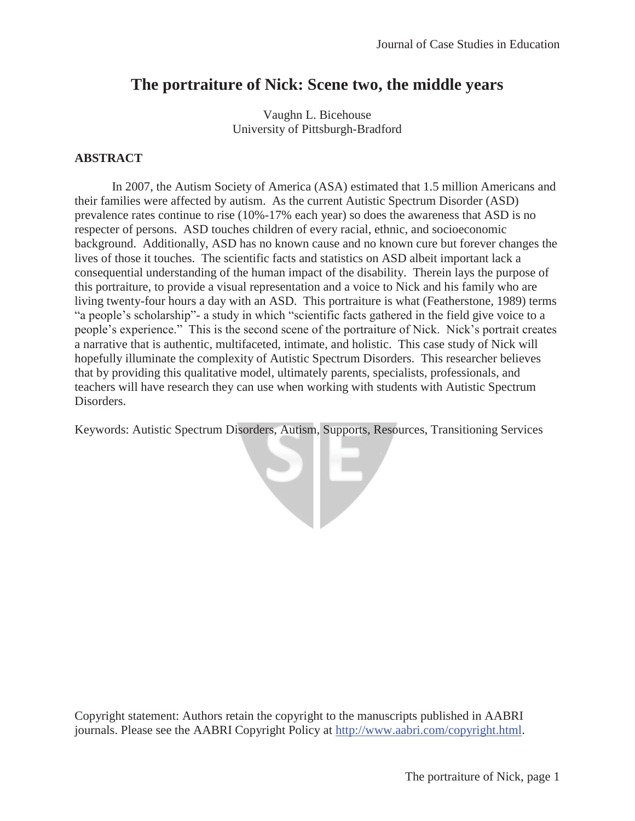# **The portraiture of Nick: Scene two, the middle years**

Vaughn L. Bicehouse University of Pittsburgh-Bradford

## **ABSTRACT**

In 2007, the Autism Society of America (ASA) estimated that 1.5 million Americans and their families were affected by autism. As the current Autistic Spectrum Disorder (ASD) prevalence rates continue to rise (10%-17% each year) so does the awareness that ASD is no respecter of persons. ASD touches children of every racial, ethnic, and socioeconomic background. Additionally, ASD has no known cause and no known cure but forever changes the lives of those it touches. The scientific facts and statistics on ASD albeit important lack a consequential understanding of the human impact of the disability. Therein lays the purpose of this portraiture, to provide a visual representation and a voice to Nick and his family who are living twenty-four hours a day with an ASD. This portraiture is what (Featherstone, 1989) terms "a people's scholarship"- a study in which "scientific facts gathered in the field give voice to a people's experience." This is the second scene of the portraiture of Nick. Nick's portrait creates a narrative that is authentic, multifaceted, intimate, and holistic. This case study of Nick will hopefully illuminate the complexity of Autistic Spectrum Disorders. This researcher believes that by providing this qualitative model, ultimately parents, specialists, professionals, and teachers will have research they can use when working with students with Autistic Spectrum Disorders.

Keywords: Autistic Spectrum Disorders, Autism, Supports, Resources, Transitioning Services

YĿ

Copyright statement: Authors retain the copyright to the manuscripts published in AABRI journals. Please see the AABRI Copyright Policy at http://www.aabri.com/copyright.html.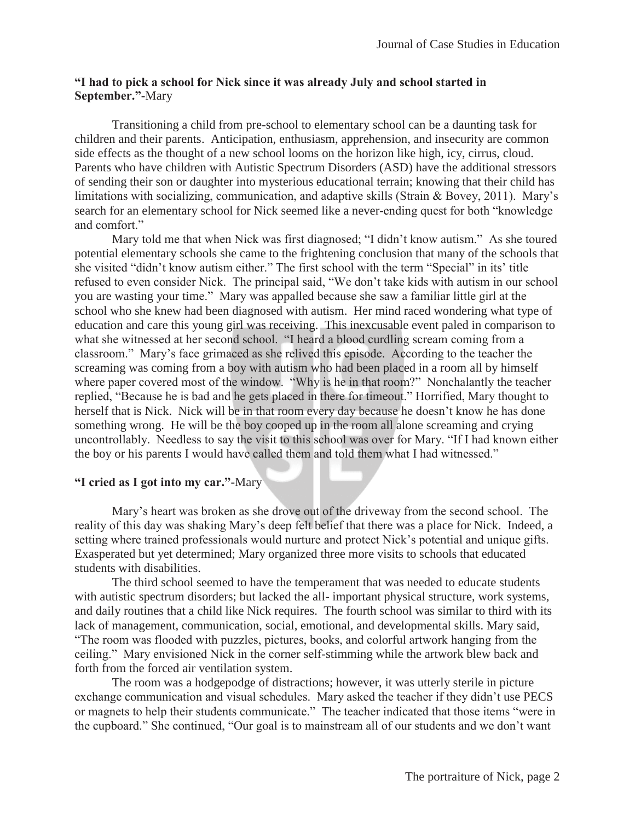# **"I had to pick a school for Nick since it was already July and school started in September."-**Mary

Transitioning a child from pre-school to elementary school can be a daunting task for children and their parents. Anticipation, enthusiasm, apprehension, and insecurity are common side effects as the thought of a new school looms on the horizon like high, icy, cirrus, cloud. Parents who have children with Autistic Spectrum Disorders (ASD) have the additional stressors of sending their son or daughter into mysterious educational terrain; knowing that their child has limitations with socializing, communication, and adaptive skills (Strain & Bovey, 2011). Mary's search for an elementary school for Nick seemed like a never-ending quest for both "knowledge and comfort."

Mary told me that when Nick was first diagnosed; "I didn't know autism." As she toured potential elementary schools she came to the frightening conclusion that many of the schools that she visited "didn't know autism either." The first school with the term "Special" in its' title refused to even consider Nick. The principal said, "We don't take kids with autism in our school you are wasting your time." Mary was appalled because she saw a familiar little girl at the school who she knew had been diagnosed with autism. Her mind raced wondering what type of education and care this young girl was receiving. This inexcusable event paled in comparison to what she witnessed at her second school. "I heard a blood curdling scream coming from a classroom." Mary's face grimaced as she relived this episode. According to the teacher the screaming was coming from a boy with autism who had been placed in a room all by himself where paper covered most of the window. "Why is he in that room?" Nonchalantly the teacher replied, "Because he is bad and he gets placed in there for timeout." Horrified, Mary thought to herself that is Nick. Nick will be in that room every day because he doesn't know he has done something wrong. He will be the boy cooped up in the room all alone screaming and crying uncontrollably. Needless to say the visit to this school was over for Mary. "If I had known either the boy or his parents I would have called them and told them what I had witnessed."

## **"I cried as I got into my car."-**Mary

Mary's heart was broken as she drove out of the driveway from the second school. The reality of this day was shaking Mary's deep felt belief that there was a place for Nick. Indeed, a setting where trained professionals would nurture and protect Nick's potential and unique gifts. Exasperated but yet determined; Mary organized three more visits to schools that educated students with disabilities.

The third school seemed to have the temperament that was needed to educate students with autistic spectrum disorders; but lacked the all- important physical structure, work systems, and daily routines that a child like Nick requires. The fourth school was similar to third with its lack of management, communication, social, emotional, and developmental skills. Mary said, "The room was flooded with puzzles, pictures, books, and colorful artwork hanging from the ceiling." Mary envisioned Nick in the corner self-stimming while the artwork blew back and forth from the forced air ventilation system.

The room was a hodgepodge of distractions; however, it was utterly sterile in picture exchange communication and visual schedules. Mary asked the teacher if they didn't use PECS or magnets to help their students communicate." The teacher indicated that those items "were in the cupboard." She continued, "Our goal is to mainstream all of our students and we don't want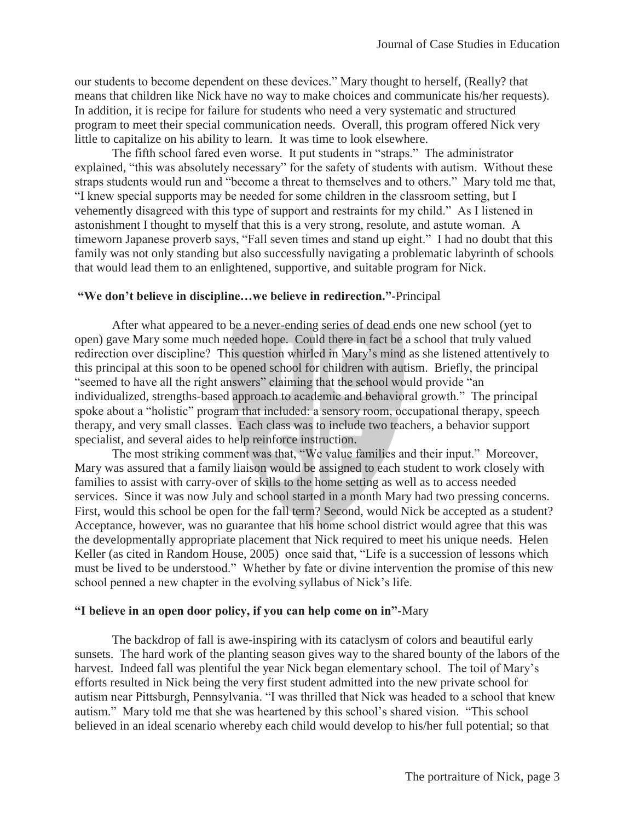our students to become dependent on these devices." Mary thought to herself, (Really? that means that children like Nick have no way to make choices and communicate his/her requests). In addition, it is recipe for failure for students who need a very systematic and structured program to meet their special communication needs. Overall, this program offered Nick very little to capitalize on his ability to learn. It was time to look elsewhere.

The fifth school fared even worse. It put students in "straps." The administrator explained, "this was absolutely necessary" for the safety of students with autism. Without these straps students would run and "become a threat to themselves and to others." Mary told me that, "I knew special supports may be needed for some children in the classroom setting, but I vehemently disagreed with this type of support and restraints for my child." As I listened in astonishment I thought to myself that this is a very strong, resolute, and astute woman. A timeworn Japanese proverb says, "Fall seven times and stand up eight." I had no doubt that this family was not only standing but also successfully navigating a problematic labyrinth of schools that would lead them to an enlightened, supportive, and suitable program for Nick.

#### **"We don't believe in discipline…we believe in redirection."-**Principal

After what appeared to be a never-ending series of dead ends one new school (yet to open) gave Mary some much needed hope. Could there in fact be a school that truly valued redirection over discipline? This question whirled in Mary's mind as she listened attentively to this principal at this soon to be opened school for children with autism. Briefly, the principal "seemed to have all the right answers" claiming that the school would provide "an individualized, strengths-based approach to academic and behavioral growth." The principal spoke about a "holistic" program that included: a sensory room, occupational therapy, speech therapy, and very small classes. Each class was to include two teachers, a behavior support specialist, and several aides to help reinforce instruction.

The most striking comment was that, "We value families and their input." Moreover, Mary was assured that a family liaison would be assigned to each student to work closely with families to assist with carry-over of skills to the home setting as well as to access needed services. Since it was now July and school started in a month Mary had two pressing concerns. First, would this school be open for the fall term? Second, would Nick be accepted as a student? Acceptance, however, was no guarantee that his home school district would agree that this was the developmentally appropriate placement that Nick required to meet his unique needs. Helen Keller (as cited in Random House, 2005) once said that, "Life is a succession of lessons which must be lived to be understood." Whether by fate or divine intervention the promise of this new school penned a new chapter in the evolving syllabus of Nick's life.

#### **"I believe in an open door policy, if you can help come on in"-**Mary

The backdrop of fall is awe-inspiring with its cataclysm of colors and beautiful early sunsets. The hard work of the planting season gives way to the shared bounty of the labors of the harvest. Indeed fall was plentiful the year Nick began elementary school. The toil of Mary's efforts resulted in Nick being the very first student admitted into the new private school for autism near Pittsburgh, Pennsylvania. "I was thrilled that Nick was headed to a school that knew autism." Mary told me that she was heartened by this school's shared vision. "This school believed in an ideal scenario whereby each child would develop to his/her full potential; so that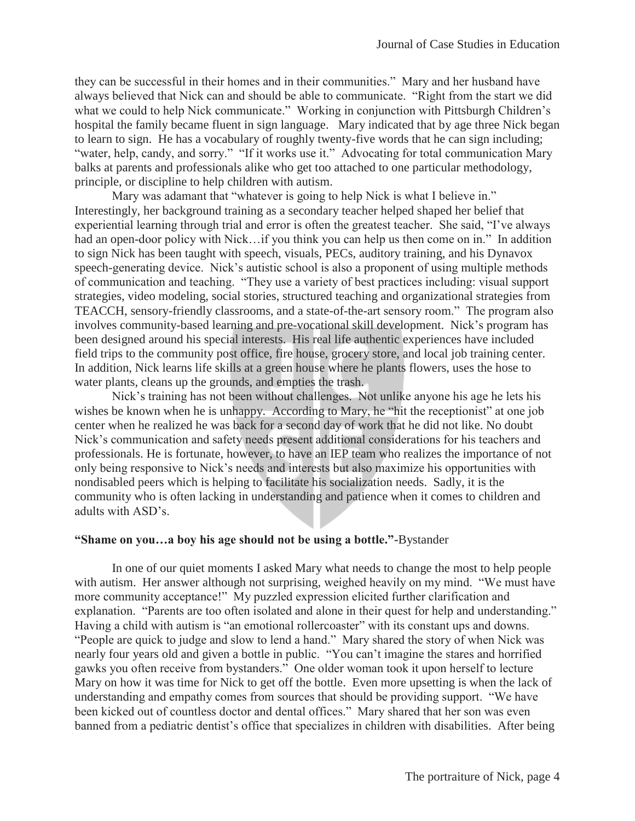they can be successful in their homes and in their communities." Mary and her husband have always believed that Nick can and should be able to communicate. "Right from the start we did what we could to help Nick communicate." Working in conjunction with Pittsburgh Children's hospital the family became fluent in sign language. Mary indicated that by age three Nick began to learn to sign. He has a vocabulary of roughly twenty-five words that he can sign including; "water, help, candy, and sorry." "If it works use it." Advocating for total communication Mary balks at parents and professionals alike who get too attached to one particular methodology, principle, or discipline to help children with autism.

Mary was adamant that "whatever is going to help Nick is what I believe in." Interestingly, her background training as a secondary teacher helped shaped her belief that experiential learning through trial and error is often the greatest teacher. She said, "I've always had an open-door policy with Nick...if you think you can help us then come on in." In addition to sign Nick has been taught with speech, visuals, PECs, auditory training, and his Dynavox speech-generating device. Nick's autistic school is also a proponent of using multiple methods of communication and teaching. "They use a variety of best practices including: visual support strategies, video modeling, social stories, structured teaching and organizational strategies from TEACCH, sensory-friendly classrooms, and a state-of-the-art sensory room." The program also involves community-based learning and pre-vocational skill development. Nick's program has been designed around his special interests. His real life authentic experiences have included field trips to the community post office, fire house, grocery store, and local job training center. In addition, Nick learns life skills at a green house where he plants flowers, uses the hose to water plants, cleans up the grounds, and empties the trash.

Nick's training has not been without challenges. Not unlike anyone his age he lets his wishes be known when he is unhappy. According to Mary, he "hit the receptionist" at one job center when he realized he was back for a second day of work that he did not like. No doubt Nick's communication and safety needs present additional considerations for his teachers and professionals. He is fortunate, however, to have an IEP team who realizes the importance of not only being responsive to Nick's needs and interests but also maximize his opportunities with nondisabled peers which is helping to facilitate his socialization needs. Sadly, it is the community who is often lacking in understanding and patience when it comes to children and adults with ASD's.

#### **"Shame on you…a boy his age should not be using a bottle."-**Bystander

 In one of our quiet moments I asked Mary what needs to change the most to help people with autism. Her answer although not surprising, weighed heavily on my mind. "We must have more community acceptance!" My puzzled expression elicited further clarification and explanation. "Parents are too often isolated and alone in their quest for help and understanding." Having a child with autism is "an emotional rollercoaster" with its constant ups and downs. "People are quick to judge and slow to lend a hand." Mary shared the story of when Nick was nearly four years old and given a bottle in public. "You can't imagine the stares and horrified gawks you often receive from bystanders." One older woman took it upon herself to lecture Mary on how it was time for Nick to get off the bottle. Even more upsetting is when the lack of understanding and empathy comes from sources that should be providing support. "We have been kicked out of countless doctor and dental offices." Mary shared that her son was even banned from a pediatric dentist's office that specializes in children with disabilities. After being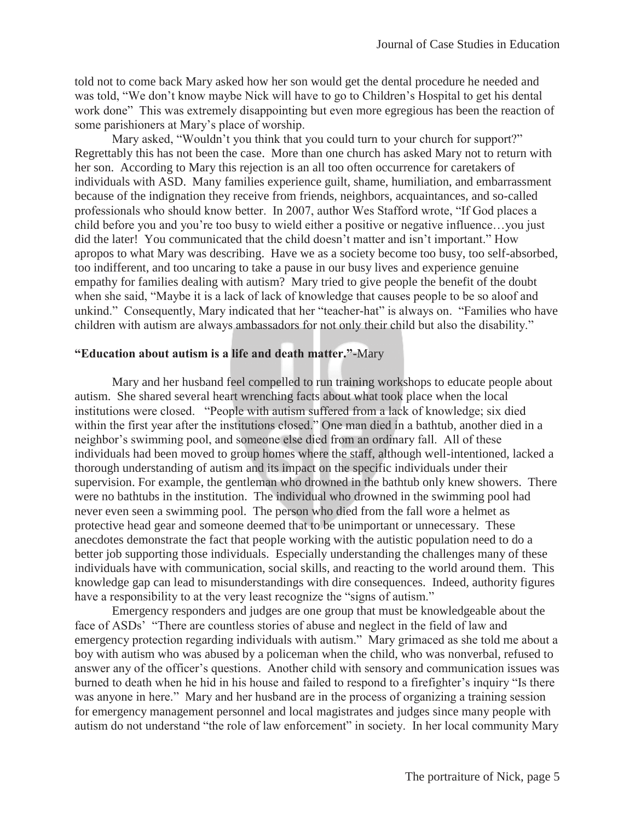told not to come back Mary asked how her son would get the dental procedure he needed and was told, "We don't know maybe Nick will have to go to Children's Hospital to get his dental work done" This was extremely disappointing but even more egregious has been the reaction of some parishioners at Mary's place of worship.

Mary asked, "Wouldn't you think that you could turn to your church for support?" Regrettably this has not been the case. More than one church has asked Mary not to return with her son. According to Mary this rejection is an all too often occurrence for caretakers of individuals with ASD. Many families experience guilt, shame, humiliation, and embarrassment because of the indignation they receive from friends, neighbors, acquaintances, and so-called professionals who should know better. In 2007, author Wes Stafford wrote, "If God places a child before you and you're too busy to wield either a positive or negative influence…you just did the later! You communicated that the child doesn't matter and isn't important." How apropos to what Mary was describing. Have we as a society become too busy, too self-absorbed, too indifferent, and too uncaring to take a pause in our busy lives and experience genuine empathy for families dealing with autism? Mary tried to give people the benefit of the doubt when she said, "Maybe it is a lack of lack of knowledge that causes people to be so aloof and unkind." Consequently, Mary indicated that her "teacher-hat" is always on. "Families who have children with autism are always ambassadors for not only their child but also the disability."

## **"Education about autism is a life and death matter."-**Mary

Mary and her husband feel compelled to run training workshops to educate people about autism. She shared several heart wrenching facts about what took place when the local institutions were closed. "People with autism suffered from a lack of knowledge; six died within the first year after the institutions closed." One man died in a bathtub, another died in a neighbor's swimming pool, and someone else died from an ordinary fall. All of these individuals had been moved to group homes where the staff, although well-intentioned, lacked a thorough understanding of autism and its impact on the specific individuals under their supervision. For example, the gentleman who drowned in the bathtub only knew showers. There were no bathtubs in the institution. The individual who drowned in the swimming pool had never even seen a swimming pool. The person who died from the fall wore a helmet as protective head gear and someone deemed that to be unimportant or unnecessary. These anecdotes demonstrate the fact that people working with the autistic population need to do a better job supporting those individuals. Especially understanding the challenges many of these individuals have with communication, social skills, and reacting to the world around them. This knowledge gap can lead to misunderstandings with dire consequences. Indeed, authority figures have a responsibility to at the very least recognize the "signs of autism."

Emergency responders and judges are one group that must be knowledgeable about the face of ASDs' "There are countless stories of abuse and neglect in the field of law and emergency protection regarding individuals with autism." Mary grimaced as she told me about a boy with autism who was abused by a policeman when the child, who was nonverbal, refused to answer any of the officer's questions. Another child with sensory and communication issues was burned to death when he hid in his house and failed to respond to a firefighter's inquiry "Is there was anyone in here." Mary and her husband are in the process of organizing a training session for emergency management personnel and local magistrates and judges since many people with autism do not understand "the role of law enforcement" in society. In her local community Mary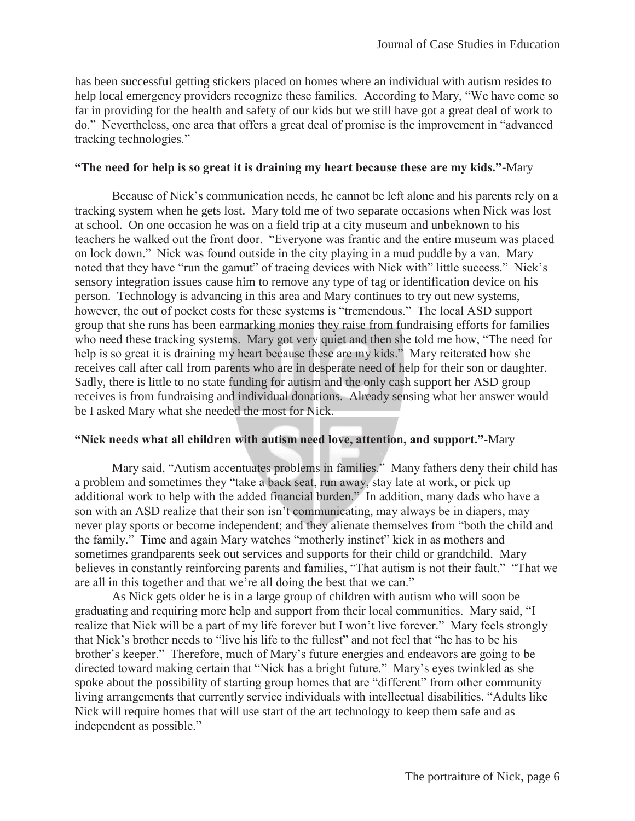has been successful getting stickers placed on homes where an individual with autism resides to help local emergency providers recognize these families. According to Mary, "We have come so far in providing for the health and safety of our kids but we still have got a great deal of work to do." Nevertheless, one area that offers a great deal of promise is the improvement in "advanced tracking technologies."

#### **"The need for help is so great it is draining my heart because these are my kids."-**Mary

Because of Nick's communication needs, he cannot be left alone and his parents rely on a tracking system when he gets lost. Mary told me of two separate occasions when Nick was lost at school. On one occasion he was on a field trip at a city museum and unbeknown to his teachers he walked out the front door. "Everyone was frantic and the entire museum was placed on lock down." Nick was found outside in the city playing in a mud puddle by a van. Mary noted that they have "run the gamut" of tracing devices with Nick with" little success." Nick's sensory integration issues cause him to remove any type of tag or identification device on his person. Technology is advancing in this area and Mary continues to try out new systems, however, the out of pocket costs for these systems is "tremendous." The local ASD support group that she runs has been earmarking monies they raise from fundraising efforts for families who need these tracking systems. Mary got very quiet and then she told me how, "The need for help is so great it is draining my heart because these are my kids." Mary reiterated how she receives call after call from parents who are in desperate need of help for their son or daughter. Sadly, there is little to no state funding for autism and the only cash support her ASD group receives is from fundraising and individual donations. Already sensing what her answer would be I asked Mary what she needed the most for Nick.

## **"Nick needs what all children with autism need love, attention, and support."-**Mary

Mary said, "Autism accentuates problems in families." Many fathers deny their child has a problem and sometimes they "take a back seat, run away, stay late at work, or pick up additional work to help with the added financial burden." In addition, many dads who have a son with an ASD realize that their son isn't communicating, may always be in diapers, may never play sports or become independent; and they alienate themselves from "both the child and the family." Time and again Mary watches "motherly instinct" kick in as mothers and sometimes grandparents seek out services and supports for their child or grandchild. Mary believes in constantly reinforcing parents and families, "That autism is not their fault." "That we are all in this together and that we're all doing the best that we can."

 As Nick gets older he is in a large group of children with autism who will soon be graduating and requiring more help and support from their local communities. Mary said, "I realize that Nick will be a part of my life forever but I won't live forever." Mary feels strongly that Nick's brother needs to "live his life to the fullest" and not feel that "he has to be his brother's keeper." Therefore, much of Mary's future energies and endeavors are going to be directed toward making certain that "Nick has a bright future." Mary's eyes twinkled as she spoke about the possibility of starting group homes that are "different" from other community living arrangements that currently service individuals with intellectual disabilities. "Adults like Nick will require homes that will use start of the art technology to keep them safe and as independent as possible."